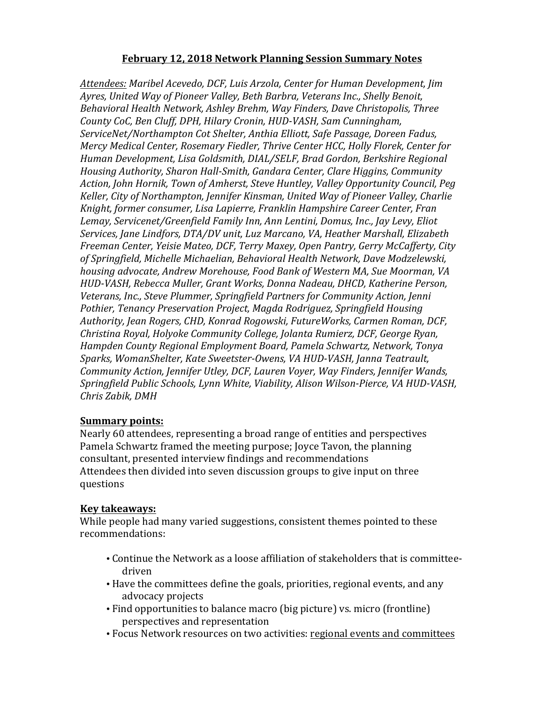## **February 12, 2018 Network Planning Session Summary Notes**

*Attendees: Maribel Acevedo, DCF, Luis Arzola, Center for Human Development, Jim*  Ayres, United Way of Pioneer Valley, Beth Barbra, Veterans Inc., Shelly Benoit, Behavioral Health Network, Ashley Brehm, Way Finders, Dave Christopolis, Three County CoC, Ben Cluff, DPH, Hilary Cronin, HUD-VASH, Sam Cunningham, *ServiceNet/Northampton Cot Shelter, Anthia Elliott, Safe Passage, Doreen Fadus, Mercy Medical Center, Rosemary Fiedler, Thrive Center HCC, Holly Florek, Center for Human Development, Lisa Goldsmith, DIAL/SELF, Brad Gordon, Berkshire Regional Housing Authority, Sharon Hall-Smith, Gandara Center, Clare Higgins, Community* Action, John Hornik, Town of Amherst, Steve Huntley, Valley Opportunity Council, Peg *Keller, City of Northampton, Jennifer Kinsman, United Way of Pioneer Valley, Charlie* Knight, former consumer, Lisa Lapierre, Franklin Hampshire Career Center, Fran Lemay, Servicenet/Greenfield Family Inn, Ann Lentini, Domus, Inc., Jay Levy, Eliot Services, Jane Lindfors, DTA/DV unit, Luz Marcano, VA, Heather Marshall, Elizabeth *Freeman Center, Yeisie Mateo, DCF, Terry Maxey, Open Pantry, Gerry McCafferty, City*  of Springfield, Michelle Michaelian, Behavioral Health Network, Dave Modzelewski, housing advocate, Andrew Morehouse, Food Bank of Western MA, Sue Moorman, VA HUD-VASH, Rebecca Muller, Grant Works, Donna Nadeau, DHCD, Katherine Person, *Veterans, Inc., Steve Plummer, Springfield Partners for Community Action, Jenni Pothier, Tenancy Preservation Project, Magda Rodriguez, Springfield Housing Authority, Jean Rogers, CHD, Konrad Rogowski, FutureWorks, Carmen Roman, DCF, Christina Royal, Holyoke Community College, Jolanta Rumierz, DCF, George Ryan, Hampden County Regional Employment Board, Pamela Schwartz, Network, Tonya*  Sparks, WomanShelter, Kate Sweetster-Owens, VA HUD-VASH, Janna Teatrault, *Community Action, Jennifer Utley, DCF, Lauren Voyer, Way Finders, Jennifer Wands,* Springfield Public Schools, Lynn White, Viability, Alison Wilson-Pierce, VA HUD-VASH, *Chris Zabik, DMH*

## **Summary points:**

Nearly 60 attendees, representing a broad range of entities and perspectives Pamela Schwartz framed the meeting purpose; Joyce Tavon, the planning consultant, presented interview findings and recommendations Attendees then divided into seven discussion groups to give input on three questions

## **Key takeaways:**

While people had many varied suggestions, consistent themes pointed to these recommendations:

- Continue the Network as a loose affiliation of stakeholders that is committeedriven
- Have the committees define the goals, priorities, regional events, and any advocacy projects
- Find opportunities to balance macro (big picture) vs. micro (frontline) perspectives and representation
- Focus Network resources on two activities: regional events and committees